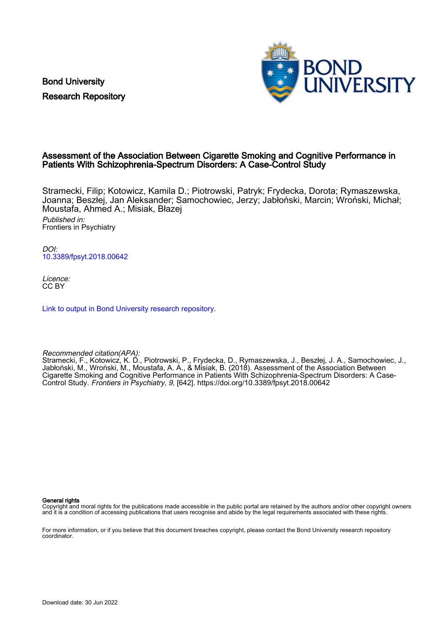Bond University Research Repository



## Assessment of the Association Between Cigarette Smoking and Cognitive Performance in Patients With Schizophrenia-Spectrum Disorders: A Case-Control Study

Stramecki, Filip; Kotowicz, Kamila D.; Piotrowski, Patryk; Frydecka, Dorota; Rymaszewska, Joanna; Beszłej, Jan Aleksander; Samochowiec, Jerzy; Jabłoński, Marcin; Wroński, Michał; Moustafa, Ahmed A.; Misiak, Błazej Published in:

Frontiers in Psychiatry

DOI: [10.3389/fpsyt.2018.00642](https://doi.org/10.3389/fpsyt.2018.00642)

Licence: CC BY

[Link to output in Bond University research repository.](https://research.bond.edu.au/en/publications/3fdfe53a-853d-4513-8675-849c114d7663)

Recommended citation(APA):

Stramecki, F., Kotowicz, K. D., Piotrowski, P., Frydecka, D., Rymaszewska, J., Beszłej, J. A., Samochowiec, J., Jabłoński, M., Wroński, M., Moustafa, A. A., & Misiak, B. (2018). Assessment of the Association Between Cigarette Smoking and Cognitive Performance in Patients With Schizophrenia-Spectrum Disorders: A Case-Control Study. Frontiers in Psychiatry, 9, [642].<https://doi.org/10.3389/fpsyt.2018.00642>

General rights

Copyright and moral rights for the publications made accessible in the public portal are retained by the authors and/or other copyright owners and it is a condition of accessing publications that users recognise and abide by the legal requirements associated with these rights.

For more information, or if you believe that this document breaches copyright, please contact the Bond University research repository coordinator.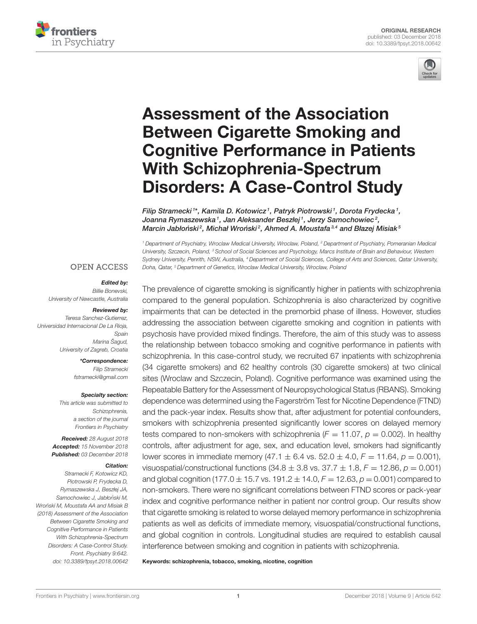



# Assessment of the Association Between Cigarette Smoking and [Cognitive Performance in Patients](https://www.frontiersin.org/articles/10.3389/fpsyt.2018.00642/full) With Schizophrenia-Spectrum Disorders: A Case-Control Study

[Filip Stramecki](http://loop.frontiersin.org/people/471409/overview)1\*, [Kamila D. Kotowicz](http://loop.frontiersin.org/people/472646/overview)1, Patryk Piotrowski1, [Dorota Frydecka](http://loop.frontiersin.org/people/153706/overview)1, Joanna Rymaszewska 1, [Jan Aleksander Beszłej](http://loop.frontiersin.org/people/632255/overview) 1, [Jerzy Samochowiec](http://loop.frontiersin.org/people/456694/overview) 2, Marcin Jabłoński<sup>2</sup>, Michał Wroński<sup>2</sup>, [Ahmed A. Moustafa](http://loop.frontiersin.org/people/15417/overview)<sup>3,4</sup> and [Błazej Misiak](http://loop.frontiersin.org/people/171472/overview)<sup>5</sup>

<sup>1</sup> Department of Psychiatry, Wroclaw Medical University, Wroclaw, Poland, <sup>2</sup> Department of Psychiatry, Pomeranian Medical University, Szczecin, Poland, <sup>3</sup> School of Social Sciences and Psychology, Marcs Institute of Brain and Behaviour, Western Sydney University, Penrith, NSW, Australia, <sup>4</sup> Department of Social Sciences, College of Arts and Sciences, Qatar University, Doha, Qatar, <sup>5</sup> Department of Genetics, Wroclaw Medical University, Wroclaw, Poland

#### **OPEN ACCESS**

#### Edited by:

Billie Bonevski, University of Newcastle, Australia

#### Reviewed by:

Teresa Sanchez-Gutierrez, Universidad Internacional De La Rioja, Spain Marina Šagud, University of Zagreb, Croatia

> \*Correspondence: Filip Stramecki [fstramecki@gmail.com](mailto:fstramecki@gmail.com)

#### Specialty section:

This article was submitted to Schizophrenia, a section of the journal Frontiers in Psychiatry

Received: 28 August 2018 Accepted: 15 November 2018 Published: 03 December 2018

#### Citation:

Stramecki F, Kotowicz KD, Piotrowski P, Frydecka D, Rymaszewska J, Beszłej JA, Samochowiec J, Jabłoński M Wroński M, Moustafa AA and Misiak B (2018) Assessment of the Association Between Cigarette Smoking and Cognitive Performance in Patients With Schizophrenia-Spectrum Disorders: A Case-Control Study. Front. Psychiatry 9:642. doi: [10.3389/fpsyt.2018.00642](https://doi.org/10.3389/fpsyt.2018.00642)

The prevalence of cigarette smoking is significantly higher in patients with schizophrenia compared to the general population. Schizophrenia is also characterized by cognitive impairments that can be detected in the premorbid phase of illness. However, studies addressing the association between cigarette smoking and cognition in patients with psychosis have provided mixed findings. Therefore, the aim of this study was to assess the relationship between tobacco smoking and cognitive performance in patients with schizophrenia. In this case-control study, we recruited 67 inpatients with schizophrenia (34 cigarette smokers) and 62 healthy controls (30 cigarette smokers) at two clinical sites (Wroclaw and Szczecin, Poland). Cognitive performance was examined using the Repeatable Battery for the Assessment of Neuropsychological Status (RBANS). Smoking dependence was determined using the Fagerström Test for Nicotine Dependence (FTND) and the pack-year index. Results show that, after adjustment for potential confounders, smokers with schizophrenia presented significantly lower scores on delayed memory tests compared to non-smokers with schizophrenia ( $F = 11.07$ ,  $p = 0.002$ ). In healthy controls, after adjustment for age, sex, and education level, smokers had significantly lower scores in immediate memory  $(47.1 \pm 6.4 \text{ vs. } 52.0 \pm 4.0, F = 11.64, p = 0.001)$ , visuospatial/constructional functions  $(34.8 \pm 3.8 \text{ vs. } 37.7 \pm 1.8, F = 12.86, p = 0.001)$ and global cognition (177.0  $\pm$  15.7 vs. 191.2  $\pm$  14.0,  $F = 12.63$ ,  $p = 0.001$ ) compared to non-smokers. There were no significant correlations between FTND scores or pack-year index and cognitive performance neither in patient nor control group. Our results show that cigarette smoking is related to worse delayed memory performance in schizophrenia patients as well as deficits of immediate memory, visuospatial/constructional functions, and global cognition in controls. Longitudinal studies are required to establish causal interference between smoking and cognition in patients with schizophrenia.

Keywords: schizophrenia, tobacco, smoking, nicotine, cognition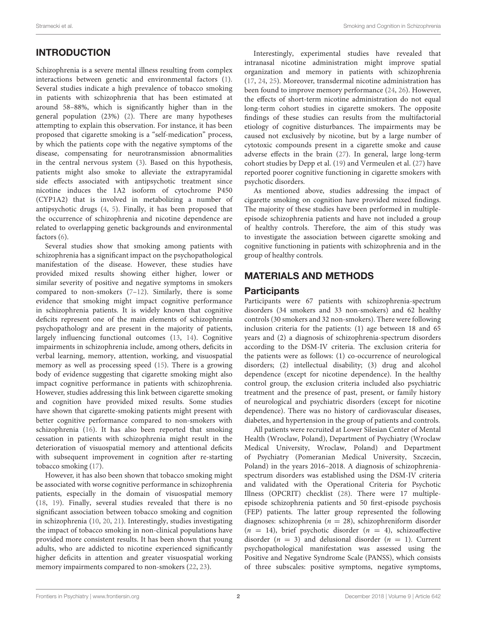# INTRODUCTION

Schizophrenia is a severe mental illness resulting from complex interactions between genetic and environmental factors [\(1\)](#page-6-0). Several studies indicate a high prevalence of tobacco smoking in patients with schizophrenia that has been estimated at around 58–88%, which is significantly higher than in the general population (23%) [\(2\)](#page-6-1). There are many hypotheses attempting to explain this observation. For instance, it has been proposed that cigarette smoking is a "self-medication" process, by which the patients cope with the negative symptoms of the disease, compensating for neurotransmission abnormalities in the central nervous system [\(3\)](#page-6-2). Based on this hypothesis, patients might also smoke to alleviate the extrapyramidal side effects associated with antipsychotic treatment since nicotine induces the 1A2 isoform of cytochrome P450 (CYP1A2) that is involved in metabolizing a number of antipsychotic drugs [\(4,](#page-6-3) [5\)](#page-6-4). Finally, it has been proposed that the occurrence of schizophrenia and nicotine dependence are related to overlapping genetic backgrounds and environmental factors [\(6\)](#page-6-5).

Several studies show that smoking among patients with schizophrenia has a significant impact on the psychopathological manifestation of the disease. However, these studies have provided mixed results showing either higher, lower or similar severity of positive and negative symptoms in smokers compared to non-smokers [\(7–](#page-6-6)[12\)](#page-6-7). Similarly, there is some evidence that smoking might impact cognitive performance in schizophrenia patients. It is widely known that cognitive deficits represent one of the main elements of schizophrenia psychopathology and are present in the majority of patients, largely influencing functional outcomes [\(13,](#page-6-8) [14\)](#page-6-9). Cognitive impairments in schizophrenia include, among others, deficits in verbal learning, memory, attention, working, and visuospatial memory as well as processing speed [\(15\)](#page-6-10). There is a growing body of evidence suggesting that cigarette smoking might also impact cognitive performance in patients with schizophrenia. However, studies addressing this link between cigarette smoking and cognition have provided mixed results. Some studies have shown that cigarette-smoking patients might present with better cognitive performance compared to non-smokers with schizophrenia [\(16\)](#page-6-11). It has also been reported that smoking cessation in patients with schizophrenia might result in the deterioration of visuospatial memory and attentional deficits with subsequent improvement in cognition after re-starting tobacco smoking [\(17\)](#page-6-12).

However, it has also been shown that tobacco smoking might be associated with worse cognitive performance in schizophrenia patients, especially in the domain of visuospatial memory [\(18,](#page-6-13) [19\)](#page-6-14). Finally, several studies revealed that there is no significant association between tobacco smoking and cognition in schizophrenia [\(10,](#page-6-15) [20,](#page-7-0) [21\)](#page-7-1). Interestingly, studies investigating the impact of tobacco smoking in non-clinical populations have provided more consistent results. It has been shown that young adults, who are addicted to nicotine experienced significantly higher deficits in attention and greater visuospatial working memory impairments compared to non-smokers [\(22,](#page-7-2) [23\)](#page-7-3).

Interestingly, experimental studies have revealed that intranasal nicotine administration might improve spatial organization and memory in patients with schizophrenia [\(17,](#page-6-12) [24,](#page-7-4) [25\)](#page-7-5). Moreover, transdermal nicotine administration has been found to improve memory performance [\(24,](#page-7-4) [26\)](#page-7-6). However, the effects of short-term nicotine administration do not equal long-term cohort studies in cigarette smokers. The opposite findings of these studies can results from the multifactorial etiology of cognitive disturbances. The impairments may be caused not exclusively by nicotine, but by a large number of cytotoxic compounds present in a cigarette smoke and cause adverse effects in the brain [\(27\)](#page-7-7). In general, large long-term cohort studies by Depp et al. [\(19\)](#page-6-14) and Vermeulen et al. [\(27\)](#page-7-7) have reported poorer cognitive functioning in cigarette smokers with psychotic disorders.

As mentioned above, studies addressing the impact of cigarette smoking on cognition have provided mixed findings. The majority of these studies have been performed in multipleepisode schizophrenia patients and have not included a group of healthy controls. Therefore, the aim of this study was to investigate the association between cigarette smoking and cognitive functioning in patients with schizophrenia and in the group of healthy controls.

# MATERIALS AND METHODS

## **Participants**

Participants were 67 patients with schizophrenia-spectrum disorders (34 smokers and 33 non-smokers) and 62 healthy controls (30 smokers and 32 non-smokers). There were following inclusion criteria for the patients: (1) age between 18 and 65 years and (2) a diagnosis of schizophrenia-spectrum disorders according to the DSM-IV criteria. The exclusion criteria for the patients were as follows: (1) co-occurrence of neurological disorders; (2) intellectual disability; (3) drug and alcohol dependence (except for nicotine dependence). In the healthy control group, the exclusion criteria included also psychiatric treatment and the presence of past, present, or family history of neurological and psychiatric disorders (except for nicotine dependence). There was no history of cardiovascular diseases, diabetes, and hypertension in the group of patients and controls.

All patients were recruited at Lower Silesian Center of Mental Health (Wroclaw, Poland), Department of Psychiatry (Wroclaw Medical University, Wroclaw, Poland) and Department of Psychiatry (Pomeranian Medical University, Szczecin, Poland) in the years 2016–2018. A diagnosis of schizophreniaspectrum disorders was established using the DSM-IV criteria and validated with the Operational Criteria for Psychotic Illness (OPCRIT) checklist [\(28\)](#page-7-8). There were 17 multipleepisode schizophrenia patients and 50 first-episode psychosis (FEP) patients. The latter group represented the following diagnoses: schizophrenia ( $n = 28$ ), schizophreniform disorder  $(n = 14)$ , brief psychotic disorder  $(n = 4)$ , schizoaffective disorder ( $n = 3$ ) and delusional disorder ( $n = 1$ ). Current psychopathological manifestation was assessed using the Positive and Negative Syndrome Scale (PANSS), which consists of three subscales: positive symptoms, negative symptoms,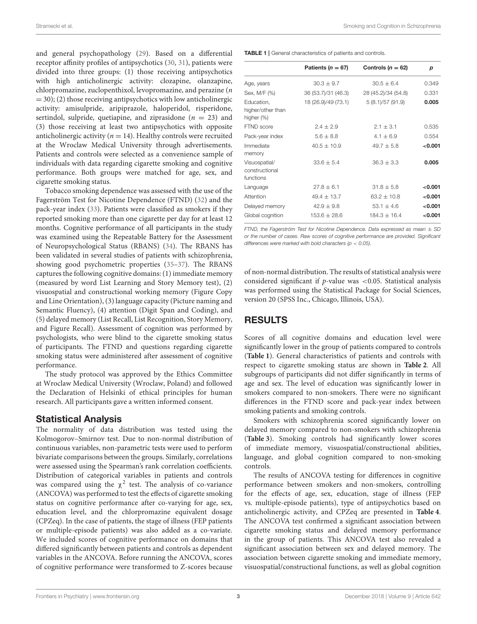and general psychopathology [\(29\)](#page-7-9). Based on a differential receptor affinity profiles of antipsychotics [\(30,](#page-7-10) [31\)](#page-7-11), patients were divided into three groups: (1) those receiving antipsychotics with high anticholinergic activity: clozapine, olanzapine, chlorpromazine, zuclopenthixol, levopromazine, and perazine (n  $=$  30); (2) those receiving antipsychotics with low anticholinergic activity: amisulpride, aripiprazole, haloperidol, risperidone, sertindol, sulpride, quetiapine, and ziprasidone ( $n = 23$ ) and (3) those receiving at least two antipsychotics with opposite anticholinergic activity ( $n = 14$ ). Healthy controls were recruited at the Wroclaw Medical University through advertisements. Patients and controls were selected as a convenience sample of individuals with data regarding cigarette smoking and cognitive performance. Both groups were matched for age, sex, and cigarette smoking status.

Tobacco smoking dependence was assessed with the use of the Fagerström Test for Nicotine Dependence (FTND) [\(32\)](#page-7-12) and the pack-year index [\(33\)](#page-7-13). Patients were classified as smokers if they reported smoking more than one cigarette per day for at least 12 months. Cognitive performance of all participants in the study was examined using the Repeatable Battery for the Assessment of Neuropsychological Status (RBANS) [\(34\)](#page-7-14). The RBANS has been validated in several studies of patients with schizophrenia, showing good psychometric properties [\(35](#page-7-15)[–37\)](#page-7-16). The RBANS captures the following cognitive domains: (1) immediate memory (measured by word List Learning and Story Memory test), (2) visuospatial and constructional working memory (Figure Copy and Line Orientation), (3) language capacity (Picture naming and Semantic Fluency), (4) attention (Digit Span and Coding), and (5) delayed memory (List Recall, List Recognition, Story Memory, and Figure Recall). Assessment of cognition was performed by psychologists, who were blind to the cigarette smoking status of participants. The FTND and questions regarding cigarette smoking status were administered after assessment of cognitive performance.

The study protocol was approved by the Ethics Committee at Wroclaw Medical University (Wroclaw, Poland) and followed the Declaration of Helsinki of ethical principles for human research. All participants gave a written informed consent.

## Statistical Analysis

The normality of data distribution was tested using the Kolmogorov–Smirnov test. Due to non-normal distribution of continuous variables, non-parametric tests were used to perform bivariate comparisons between the groups. Similarly, correlations were assessed using the Spearman's rank correlation coefficients. Distribution of categorical variables in patients and controls was compared using the  $\chi^2$  test. The analysis of co-variance (ANCOVA) was performed to test the effects of cigarette smoking status on cognitive performance after co-varying for age, sex, education level, and the chlorpromazine equivalent dosage (CPZeq). In the case of patients, the stage of illness (FEP patients or multiple-episode patients) was also added as a co-variate. We included scores of cognitive performance on domains that differed significantly between patients and controls as dependent variables in the ANCOVA. Before running the ANCOVA, scores of cognitive performance were transformed to Z-scores because <span id="page-3-0"></span>TABLE 1 | General characteristics of patients and controls.

| Patients ( $n = 67$ ) | Controls ( $n = 62$ ) | р       |
|-----------------------|-----------------------|---------|
| $30.3 \pm 9.7$        | $30.5 + 6.4$          | 0.349   |
| 36 (53.7)/31 (46.3)   | 28 (45.2)/34 (54.8)   | 0.331   |
| 18 (26.9)/49 (73.1)   | 5(8.1)/57(91.9)       | 0.005   |
| $2.4 \pm 2.9$         | $2.1 \pm 3.1$         | 0.535   |
| $5.6 \pm 8.8$         | $4.1 \pm 6.9$         | 0.554   |
| $40.5 + 10.9$         | $49.7 + 5.8$          | <0.001  |
| $33.6 \pm 5.4$        | $36.3 \pm 3.3$        | 0.005   |
| $27.8 \pm 6.1$        | $31.8 \pm 5.8$        | < 0.001 |
| $49.4 \pm 13.7$       | $63.2 \pm 10.8$       | < 0.001 |
| $42.9 \pm 9.8$        | $53.1 \pm 4.6$        | < 0.001 |
| $153.6 \pm 28.6$      | $184.3 \pm 16.4$      | < 0.001 |
|                       |                       |         |

FTND, the Fagerström Test for Nicotine Dependence. Data expressed as mean  $\pm$  SD or the number of cases. Raw scores of cognitive performance are provided. Significant differences were marked with bold characters ( $p < 0.05$ ).

of non-normal distribution. The results of statistical analysis were considered significant if  $p$ -value was <0.05. Statistical analysis was performed using the Statistical Package for Social Sciences, version 20 (SPSS Inc., Chicago, Illinois, USA).

## RESULTS

Scores of all cognitive domains and education level were significantly lower in the group of patients compared to controls (**[Table 1](#page-3-0)**). General characteristics of patients and controls with respect to cigarette smoking status are shown in **[Table 2](#page-4-0)**. All subgroups of participants did not differ significantly in terms of age and sex. The level of education was significantly lower in smokers compared to non-smokers. There were no significant differences in the FTND score and pack-year index between smoking patients and smoking controls.

Smokers with schizophrenia scored significantly lower on delayed memory compared to non-smokers with schizophrenia (**[Table 3](#page-4-1)**). Smoking controls had significantly lower scores of immediate memory, visuospatial/constructional abilities, language, and global cognition compared to non-smoking controls.

The results of ANCOVA testing for differences in cognitive performance between smokers and non-smokers, controlling for the effects of age, sex, education, stage of illness (FEP vs. multiple-episode patients), type of antipsychotics based on anticholinergic activity, and CPZeq are presented in **[Table 4](#page-5-0)**. The ANCOVA test confirmed a significant association between cigarette smoking status and delayed memory performance in the group of patients. This ANCOVA test also revealed a significant association between sex and delayed memory. The association between cigarette smoking and immediate memory, visuospatial/constructional functions, as well as global cognition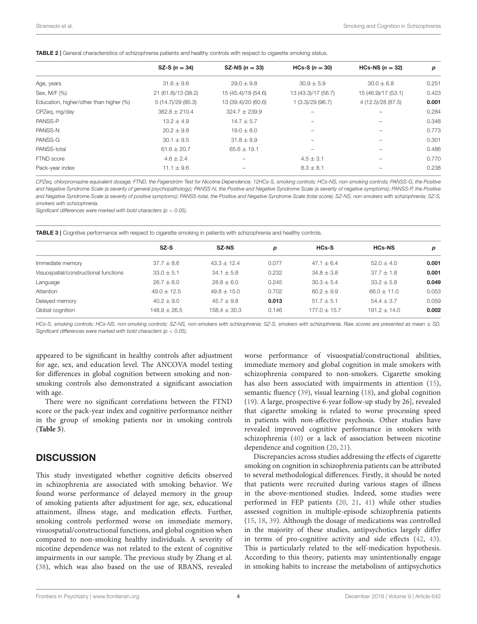<span id="page-4-0"></span>

|  |  | TABLE 2   General characteristics of schizophrenia patients and healthy controls with respect to cigarette smoking status. |
|--|--|----------------------------------------------------------------------------------------------------------------------------|
|  |  |                                                                                                                            |

|                                         | SZ-S $(n = 34)$     | SZ-NS $(n = 33)$    | HCs-S $(n = 30)$    | HCs-NS $(n = 32)$   | p     |
|-----------------------------------------|---------------------|---------------------|---------------------|---------------------|-------|
| Age, years                              | $31.6 \pm 9.6$      | $29.0 \pm 9.8$      | $30.9 \pm 5.9$      | $30.0 \pm 6.8$      | 0.251 |
| Sex, M/F (%)                            | 21 (61.8)/13 (38.2) | 15 (45.4)/18 (54.6) | 13 (43.3)/17 (56.7) | 15 (46.9)/17 (53.1) | 0.423 |
| Education, higher/other than higher (%) | 5 (14.7)/29 (85.3)  | 13 (39.4)/20 (60.6) | 1(3.3)/29(96.7)     | 4 (12.5)/28 (87.5)  | 0.001 |
| CPZeg, mg/day                           | $362.8 \pm 210.4$   | $324.7 \pm 239.9$   |                     |                     | 0.284 |
| PANSS-P                                 | $13.2 \pm 4.9$      | $14.7 \pm 5.7$      |                     |                     | 0.348 |
| PANSS-N                                 | $20.2 \pm 9.8$      | $19.0 \pm 8.0$      |                     |                     | 0.773 |
| PANSS-G                                 | $30.1 \pm 9.5$      | $31.8 \pm 8.9$      |                     |                     | 0.301 |
| PANSS-total                             | $61.6 \pm 20.7$     | $65.6 \pm 19.1$     |                     |                     | 0.486 |
| FTND score                              | $4.6 \pm 2.4$       | -                   | $4.5 \pm 3.1$       | -                   | 0.770 |
| Pack-year index                         | $11.1 \pm 9.6$      |                     | $8.3 \pm 8.1$       |                     | 0.238 |
|                                         |                     |                     |                     |                     |       |

CPZeq, chlorpromazine equivalent dosage; FTND, the Fagerström Test for Nicotine Dependence; 12HCs-S, smoking controls; HCs-NS, non-smoking controls; PANSS-G, the Positive and Negative Syndrome Scale (a severity of general psychopathology); PANSS-N, the Positive and Negative Syndrome Scale (a severity of negative symptoms); PANSS-P, the Positive and Negative Syndrome Scale (a severity of positive symptoms); PANSS-total, the Positive and Negative Syndrome Scale (total score); SZ-NS, non-smokers with schizophrenia; SZ-S, smokers with schizophrenia.

Significant differences were marked with bold characters ( $p < 0.05$ ).

<span id="page-4-1"></span>TABLE 3 | Cognitive performance with respect to cigarette smoking in patients with schizophrenia and healthy controls.

|                                       | SZ-S             | <b>SZ-NS</b>     | р     | <b>HCs-S</b>   | <b>HCs-NS</b>   | p     |
|---------------------------------------|------------------|------------------|-------|----------------|-----------------|-------|
| Immediate memory                      | $37.7 \pm 8.6$   | $43.3 \pm 12.4$  | 0.077 | $47.1 \pm 6.4$ | $52.0 \pm 4.0$  | 0.001 |
| Visuospatial/constructional functions | $33.0 \pm 5.1$   | $34.1 \pm 5.8$   | 0.232 | $34.8 \pm 3.8$ | $37.7 \pm 1.8$  | 0.001 |
| Language                              | $26.7 \pm 6.0$   | $28.8 + 6.0$     | 0.245 | $30.3 + 5.4$   | $33.2 + 5.8$    | 0.049 |
| Attention                             | $49.0 \pm 12.5$  | $49.8 \pm 15.0$  | 0.702 | $60.2 \pm 9.9$ | $66.0 \pm 11.0$ | 0.053 |
| Delayed memory                        | $40.2 \pm 9.0$   | $45.7 \pm 9.8$   | 0.013 | $51.7 \pm 5.1$ | $54.4 \pm 3.7$  | 0.059 |
| Global cognition                      | $148.9 \pm 26.5$ | $158.4 \pm 30.3$ | 0.146 | $177.0 + 15.7$ | $191.2 + 14.0$  | 0.002 |

HCs-S, smoking controls; HCs-NS, non-smoking controls; SZ-NS, non-smokers with schizophrenia; SZ-S, smokers with schizophrenia. Raw scores are presented as mean  $\pm$  SD. Significant differences were marked with bold characters ( $p < 0.05$ ).

appeared to be significant in healthy controls after adjustment for age, sex, and education level. The ANCOVA model testing for differences in global cognition between smoking and nonsmoking controls also demonstrated a significant association with age.

There were no significant correlations between the FTND score or the pack-year index and cognitive performance neither in the group of smoking patients nor in smoking controls (**[Table 5](#page-5-1)**).

#### **DISCUSSION**

This study investigated whether cognitive deficits observed in schizophrenia are associated with smoking behavior. We found worse performance of delayed memory in the group of smoking patients after adjustment for age, sex, educational attainment, illness stage, and medication effects. Further, smoking controls performed worse on immediate memory, visuospatial/constructional functions, and global cognition when compared to non-smoking healthy individuals. A severity of nicotine dependence was not related to the extent of cognitive impairments in our sample. The previous study by Zhang et al. [\(38\)](#page-7-17), which was also based on the use of RBANS, revealed worse performance of visuospatial/constructional abilities, immediate memory and global cognition in male smokers with schizophrenia compared to non-smokers. Cigarette smoking has also been associated with impairments in attention [\(15\)](#page-6-10), semantic fluency [\(39\)](#page-7-18), visual learning [\(18\)](#page-6-13), and global cognition [\(19\)](#page-6-14). A large, prospective 6-year follow-up study by 26], revealed that cigarette smoking is related to worse processing speed in patients with non-affective psychosis. Other studies have revealed improved cognitive performance in smokers with schizophrenia [\(40\)](#page-7-19) or a lack of association between nicotine dependence and cognition [\(20,](#page-7-0) [21\)](#page-7-1).

Discrepancies across studies addressing the effects of cigarette smoking on cognition in schizophrenia patients can be attributed to several methodological differences. Firstly, it should be noted that patients were recruited during various stages of illness in the above-mentioned studies. Indeed, some studies were performed in FEP patients [\(20,](#page-7-0) [21,](#page-7-1) [41\)](#page-7-20) while other studies assessed cognition in multiple-episode schizophrenia patients [\(15,](#page-6-10) [18,](#page-6-13) [39\)](#page-7-18). Although the dosage of medications was controlled in the majority of these studies, antipsychotics largely differ in terms of pro-cognitive activity and side effects [\(42,](#page-7-21) [43\)](#page-7-22). This is particularly related to the self-medication hypothesis. According to this theory, patients may unintentionally engage in smoking habits to increase the metabolism of antipsychotics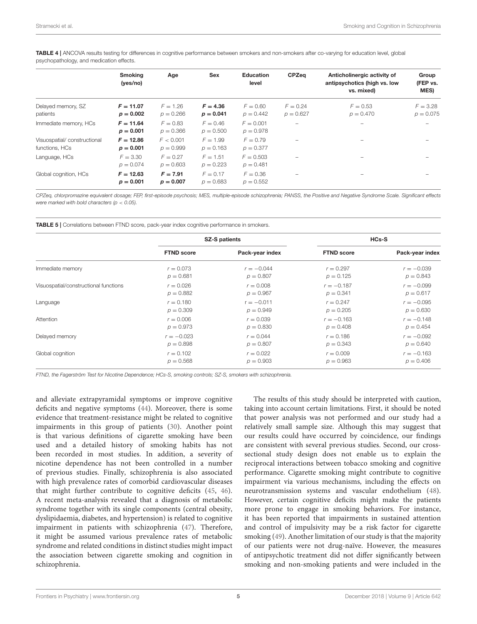<span id="page-5-0"></span>TABLE 4 | ANCOVA results testing for differences in cognitive performance between smokers and non-smokers after co-varying for education level, global psychopathology, and medication effects.

|                                               | <b>Smoking</b><br>(yes/no) | Age                       | <b>Sex</b>                | <b>Education</b><br>level  | <b>CPZeg</b>              | Anticholinergic activity of<br>antipsychotics (high vs. low<br>vs. mixed) | Group<br>(FEP vs.<br><b>MES</b> ) |
|-----------------------------------------------|----------------------------|---------------------------|---------------------------|----------------------------|---------------------------|---------------------------------------------------------------------------|-----------------------------------|
| Delayed memory, SZ<br>patients                | $F = 11.07$<br>$p = 0.002$ | $F = 1.26$<br>$p = 0.266$ | $F = 4.36$<br>$p = 0.041$ | $F = 0.60$<br>$p = 0.442$  | $F = 0.24$<br>$p = 0.627$ | $F = 0.53$<br>$p = 0.470$                                                 | $F = 3.28$<br>$p = 0.075$         |
| Immediate memory, HCs                         | $F = 11.64$<br>$p = 0.001$ | $F = 0.83$<br>$p = 0.366$ | $F = 0.46$<br>$p = 0.500$ | $F = 0.001$<br>$p = 0.978$ | $\overline{\phantom{0}}$  |                                                                           |                                   |
| Visuospatial/constructional<br>functions, HCs | $F = 12.86$<br>$p = 0.001$ | F < 0.001<br>$p = 0.999$  | $F = 1.99$<br>$p = 0.163$ | $F = 0.79$<br>$p = 0.377$  | $\overline{\phantom{0}}$  |                                                                           |                                   |
| Language, HCs                                 | $F = 3.30$<br>$p = 0.074$  | $F = 0.27$<br>$p = 0.603$ | $F = 1.51$<br>$p = 0.223$ | $F = 0.503$<br>$p = 0.481$ | -                         |                                                                           |                                   |
| Global cognition, HCs                         | $F = 12.63$<br>$p = 0.001$ | $F = 7.91$<br>$p = 0.007$ | $F = 0.17$<br>$p = 0.683$ | $F = 0.36$<br>$p = 0.552$  | -                         |                                                                           |                                   |

CPZeq, chlorpromazine equivalent dosage; FEP, first-episode psychosis; MES, multiple-episode schizophrenia; PANSS, the Positive and Negative Syndrome Scale. Significant effects were marked with bold characters ( $p < 0.05$ ).

<span id="page-5-1"></span>TABLE 5 | Correlations between FTND score, pack-year index cognitive performance in smokers.

|                                       |                   | <b>SZ-S patients</b> | <b>HCs-S</b>      |                 |  |
|---------------------------------------|-------------------|----------------------|-------------------|-----------------|--|
|                                       | <b>FTND score</b> | Pack-year index      | <b>FTND score</b> | Pack-year index |  |
| Immediate memory                      | $r = 0.073$       | $r = -0.044$         | $r = 0.297$       | $r = -0.039$    |  |
|                                       | $p = 0.681$       | $p = 0.807$          | $p = 0.125$       | $p = 0.843$     |  |
| Visuospatial/constructional functions | $r = 0.026$       | $r = 0.008$          | $r = -0.187$      | $r = -0.099$    |  |
|                                       | $p = 0.882$       | $p = 0.967$          | $p = 0.341$       | $p = 0.617$     |  |
| Language                              | $r = 0.180$       | $r = -0.011$         | $r = 0.247$       | $r = -0.095$    |  |
|                                       | $p = 0.309$       | $p = 0.949$          | $p = 0.205$       | $p = 0.630$     |  |
| Attention                             | $r = 0.006$       | $r = 0.039$          | $r = -0.163$      | $r = -0.148$    |  |
|                                       | $p = 0.973$       | $p = 0.830$          | $p = 0.408$       | $p = 0.454$     |  |
| Delayed memory                        | $r = -0.023$      | $r = 0.044$          | $r = 0.186$       | $r = -0.092$    |  |
|                                       | $p = 0.898$       | $p = 0.807$          | $p = 0.343$       | $p = 0.640$     |  |
| Global cognition                      | $r = 0.102$       | $r = 0.022$          | $r = 0.009$       | $r = -0.163$    |  |
|                                       | $p = 0.568$       | $p = 0.903$          | $p = 0.963$       | $p = 0.406$     |  |

FTND, the Fagerström Test for Nicotine Dependence; HCs-S, smoking controls; SZ-S, smokers with schizophrenia.

and alleviate extrapyramidal symptoms or improve cognitive deficits and negative symptoms [\(44\)](#page-7-23). Moreover, there is some evidence that treatment-resistance might be related to cognitive impairments in this group of patients [\(30\)](#page-7-10). Another point is that various definitions of cigarette smoking have been used and a detailed history of smoking habits has not been recorded in most studies. In addition, a severity of nicotine dependence has not been controlled in a number of previous studies. Finally, schizophrenia is also associated with high prevalence rates of comorbid cardiovascular diseases that might further contribute to cognitive deficits [\(45,](#page-7-24) [46\)](#page-7-25). A recent meta-analysis revealed that a diagnosis of metabolic syndrome together with its single components (central obesity, dyslipidaemia, diabetes, and hypertension) is related to cognitive impairment in patients with schizophrenia [\(47\)](#page-7-26). Therefore, it might be assumed various prevalence rates of metabolic syndrome and related conditions in distinct studies might impact the association between cigarette smoking and cognition in schizophrenia.

The results of this study should be interpreted with caution, taking into account certain limitations. First, it should be noted that power analysis was not performed and our study had a relatively small sample size. Although this may suggest that our results could have occurred by coincidence, our findings are consistent with several previous studies. Second, our crosssectional study design does not enable us to explain the reciprocal interactions between tobacco smoking and cognitive performance. Cigarette smoking might contribute to cognitive impairment via various mechanisms, including the effects on neurotransmission systems and vascular endothelium [\(48\)](#page-7-27). However, certain cognitive deficits might make the patients more prone to engage in smoking behaviors. For instance, it has been reported that impairments in sustained attention and control of impulsivity may be a risk factor for cigarette smoking [\(49\)](#page-7-28). Another limitation of our study is that the majority of our patients were not drug-naïve. However, the measures of antipsychotic treatment did not differ significantly between smoking and non-smoking patients and were included in the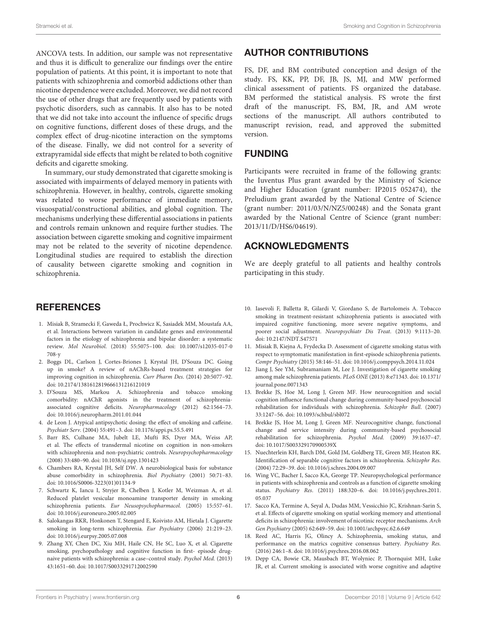ANCOVA tests. In addition, our sample was not representative and thus it is difficult to generalize our findings over the entire population of patients. At this point, it is important to note that patients with schizophrenia and comorbid addictions other than nicotine dependence were excluded. Moreover, we did not record the use of other drugs that are frequently used by patients with psychotic disorders, such as cannabis. It also has to be noted that we did not take into account the influence of specific drugs on cognitive functions, different doses of these drugs, and the complex effect of drug-nicotine interaction on the symptoms of the disease. Finally, we did not control for a severity of extrapyramidal side effects that might be related to both cognitive deficits and cigarette smoking.

In summary, our study demonstrated that cigarette smoking is associated with impairments of delayed memory in patients with schizophrenia. However, in healthy, controls, cigarette smoking was related to worse performance of immediate memory, visuospatial/constructional abilities, and global cognition. The mechanisms underlying these differential associations in patients and controls remain unknown and require further studies. The association between cigarette smoking and cognitive impairment may not be related to the severity of nicotine dependence. Longitudinal studies are required to establish the direction of causality between cigarette smoking and cognition in schizophrenia.

## **REFERENCES**

- <span id="page-6-0"></span>1. Misiak B, Stramecki F, Gaweda Ł, Prochwicz K, Sasiadek MM, Moustafa AA, et al. Interactions between variation in candidate genes and environmental factors in the etiology of schizophrenia and bipolar disorder: a systematic review. Mol Neurobiol[. \(2018\) 55:5075–100. doi: 10.1007/s12035-017-0](https://doi.org/10.1007/s12035-017-0708-y) 708-y
- <span id="page-6-1"></span>2. Boggs DL, Carlson J, Cortes-Briones J, Krystal JH, D'Souza DC. Going up in smoke? A review of nAChRs-based treatment strategies for improving cognition in schizophrenia. Curr Pharm Des. (2014) 20:5077–92. doi: [10.2174/1381612819666131216121019](https://doi.org/10.2174/1381612819666131216121019)
- <span id="page-6-2"></span>3. D'Souza MS, Markou A. Schizophrenia and tobacco smoking comorbidity: nAChR agonists in the treatment of schizophreniaassociated cognitive deficits. Neuropharmacology (2012) 62:1564–73. doi: [10.1016/j.neuropharm.2011.01.044](https://doi.org/10.1016/j.neuropharm.2011.01.044)
- <span id="page-6-3"></span>4. de Leon J. Atypical antipsychotic dosing: the effect of smoking and caffeine. Psychiatr Serv. (2004) 55:491–3. doi: [10.1176/appi.ps.55.5.491](https://doi.org/10.1176/appi.ps.55.5.491)
- <span id="page-6-4"></span>5. Barr RS, Culhane MA, Jubelt LE, Mufti RS, Dyer MA, Weiss AP, et al. The effects of transdermal nicotine on cognition in non-smokers with schizophrenia and non-psychiatric controls. Neuropsychopharmacology (2008) 33:480–90. doi: [10.1038/sj.npp.1301423](https://doi.org/10.1038/sj.npp.1301423)
- <span id="page-6-5"></span>6. Chambers RA, Krystal JH, Self DW. A neurobiological basis for substance abuse comorbidity in schizophrenia. Biol Psychiatry (2001) 50:71–83. doi: [10.1016/S0006-3223\(01\)01134-9](https://doi.org/10.1016/S0006-3223(01)01134-9)
- <span id="page-6-6"></span>7. Schwartz K, Iancu I, Stryjer R, Chelben J, Kotler M, Weizman A, et al. Reduced platelet vesicular monoamine transporter density in smoking schizophrenia patients. Eur Neusopsychopharmacol. (2005) 15:557–61. doi: [10.1016/j.euroneuro.2005.02.005](https://doi.org/10.1016/j.euroneuro.2005.02.005)
- 8. Salokangas RKR, Honkonen T, Stengard E, Koivisto AM, Hietala J. Cigarette smoking in long-term schizophrenia. Eur Psychiatry (2006) 21:219–23. doi: [10.1016/j.eurpsy.2005.07.008](https://doi.org/10.1016/j.eurpsy.2005.07.008)
- 9. Zhang XY, Chen DC, Xiu MH, Haile CN, He SC, Luo X, et al. Cigarette smoking, psychopathology and cognitive function in first- episode drugnaive patients with schizophrenia: a case–control study. Psychol Med. (2013) 43:1651–60. doi: [10.1017/S0033291712002590](https://doi.org/10.1017/S0033291712002590)

## AUTHOR CONTRIBUTIONS

FS, DF, and BM contributed conception and design of the study. FS, KK, PP, DF, JB, JS, MJ, and MW performed clinical assessment of patients. FS organized the database. BM performed the statistical analysis. FS wrote the first draft of the manuscript. FS, BM, JR, and AM wrote sections of the manuscript. All authors contributed to manuscript revision, read, and approved the submitted version.

#### FUNDING

Participants were recruited in frame of the following grants: the Iuventus Plus grant awarded by the Ministry of Science and Higher Education (grant number: IP2015 052474), the Preludium grant awarded by the National Centre of Science (grant number: 2011/03/N/NZ5/00248) and the Sonata grant awarded by the National Centre of Science (grant number: 2013/11/D/HS6/04619).

## ACKNOWLEDGMENTS

We are deeply grateful to all patients and healthy controls participating in this study.

- <span id="page-6-15"></span>10. Iasevoli F, Balletta R, Gilardi V, Giordano S, de Bartolomeis A. Tobacco smoking in treatment-resistant schizophrenia patients is associated with impaired cognitive functioning, more severe negative symptoms, and poorer social adjustment. Neuropsychiatr Dis Treat. (2013) 9:1113–20. doi: [10.2147/NDT.S47571](https://doi.org/10.2147/NDT.S47571)
- 11. Misiak B, Kiejna A, Frydecka D. Assessment of cigarette smoking status with respect to symptomatic manifestation in first-episode schizophrenia patients. Compr Psychiatry (2015) 58:146–51. doi: [10.1016/j.comppsych.2014.11.024](https://doi.org/10.1016/j.comppsych.2014.11.024)
- <span id="page-6-7"></span>12. Jiang J, See YM, Subramaniam M, Lee J. Investigation of cigarette smoking [among male schizophrenia patients.](https://doi.org/10.1371/journal.pone.0071343) PLoS ONE (2013) 8:e71343. doi: 10.1371/ journal.pone.0071343
- <span id="page-6-8"></span>13. Brekke JS, Hoe M, Long J, Green MF. How neurocognition and social cognition influence functional change during community-based psychosocial rehabilitation for individuals with schizophrenia. Schizophr Bull. (2007) 33:1247–56. doi: [10.1093/schbul/sbl072](https://doi.org/10.1093/schbul/sbl072)
- <span id="page-6-9"></span>14. Brekke JS, Hoe M, Long J, Green MF. Neurocognitive change, functional change and service intensity during community-based psychosocial rehabilitation for schizophrenia. Psychol Med. (2009) 39:1637–47. doi: [10.1017/S003329170900539X](https://doi.org/10.1017/S003329170900539X)
- <span id="page-6-10"></span>15. Nuechterlein KH, Barch DM, Gold JM, Goldberg TE, Green MF, Heaton RK. Identification of separable cognitive factors in schizophrenia. Schizophr Res. (2004) 72:29–39. doi: [10.1016/j.schres.2004.09.007](https://doi.org/10.1016/j.schres.2004.09.007)
- <span id="page-6-11"></span>16. Wing VC, Bacher I, Sacco KA, George TP. Neuropsychological performance in patients with schizophrenia and controls as a function of cigarette smoking status. Psychiatry Res[. \(2011\) 188:320–6. doi: 10.1016/j.psychres.2011.](https://doi.org/10.1016/j.psychres.2011.05.037) 05.037
- <span id="page-6-12"></span>17. Sacco KA, Termine A, Seyal A, Dudas MM, Vessicchio JC, Krishnan-Sarin S, et al. Effects of cigarette smoking on spatial working memory and attentional deficits in schizophrenia: involvement of nicotinic receptor mechanisms. Arch Gen Psychiatry (2005) 62:649–59. doi: [10.1001/archpsyc.62.6.649](https://doi.org/10.1001/archpsyc.62.6.649)
- <span id="page-6-13"></span>18. Reed AC, Harris JG, Olincy A. Schizophrenia, smoking status, and performance on the matrics cognitive consensus battery. Psychiatry Res. (2016) 246:1–8. doi: [10.1016/j.psychres.2016.08.062](https://doi.org/10.1016/j.psychres.2016.08.062)
- <span id="page-6-14"></span>19. Depp CA, Bowie CR, Mausbach BT, Wolyniec P, Thornquist MH, Luke JR, et al. Current smoking is associated with worse cognitive and adaptive